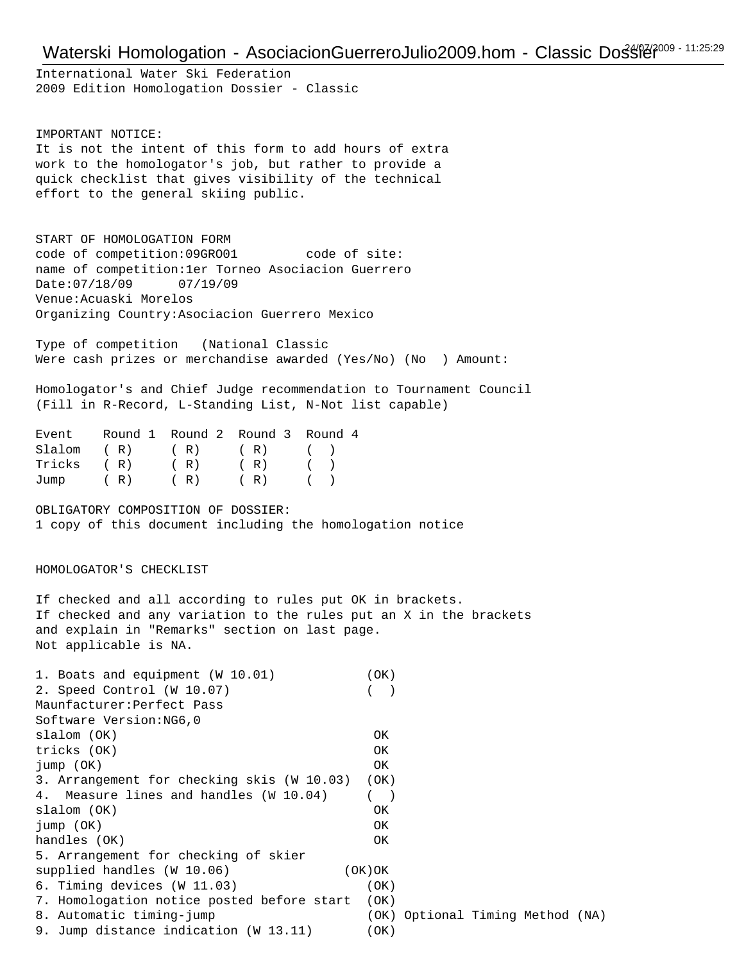## Waterski Homologation - AsociacionGuerreroJulio2009.hom - Classic Dostle 2009 - 11:25:29

International Water Ski Federation 2009 Edition Homologation Dossier - Classic

IMPORTANT NOTICE: It is not the intent of this form to add hours of extra work to the homologator's job, but rather to provide a quick checklist that gives visibility of the technical effort to the general skiing public.

START OF HOMOLOGATION FORM code of competition:09GRO01 code of site: name of competition:1er Torneo Asociacion Guerrero Date:07/18/09 07/19/09 Venue:Acuaski Morelos Organizing Country:Asociacion Guerrero Mexico

Type of competition (National Classic Were cash prizes or merchandise awarded (Yes/No) (No ) Amount:

Homologator's and Chief Judge recommendation to Tournament Council (Fill in R-Record, L-Standing List, N-Not list capable)

| Event Round 1 Round 2 Round 3 Round 4 |  |  |
|---------------------------------------|--|--|
| $S1$ alom (R) (R) (R) ()              |  |  |
| Tricks $(R)$ $(R)$ $(R)$ $(R)$ $(R)$  |  |  |
| Jump $(R)$ $(R)$ $(R)$ $(R)$ $(R)$    |  |  |

OBLIGATORY COMPOSITION OF DOSSIER: 1 copy of this document including the homologation notice

HOMOLOGATOR'S CHECKLIST

If checked and all according to rules put OK in brackets. If checked and any variation to the rules put an X in the brackets and explain in "Remarks" section on last page. Not applicable is NA.

| 1. Boats and equipment (W 10.01)<br>2. Speed Control (W 10.07)<br>Maunfacturer: Perfect Pass | ( OK )                           |
|----------------------------------------------------------------------------------------------|----------------------------------|
| Software Version: NG6, 0                                                                     |                                  |
| slalom (OK)                                                                                  | OK                               |
| tricks (OK)                                                                                  | OK.                              |
| $jump$ $(OK)$                                                                                | OK                               |
| 3. Arrangement for checking skis (W 10.03)                                                   | (OK)                             |
| 4. Measure lines and handles (W 10.04)                                                       |                                  |
| slalom (OK)                                                                                  | OK.                              |
| jump(OK)                                                                                     | OK                               |
| handles (OK)                                                                                 | OK.                              |
| 5. Arrangement for checking of skier                                                         |                                  |
| supplied handles (W 10.06)                                                                   | (OK)OK                           |
| 6. Timing devices (W 11.03)                                                                  | (OK)                             |
| 7. Homologation notice posted before start                                                   | (OK)                             |
| 8. Automatic timing-jump                                                                     | (OK) Optional Timing Method (NA) |
| 9. Jump distance indication (W 13.11)                                                        | (OK)                             |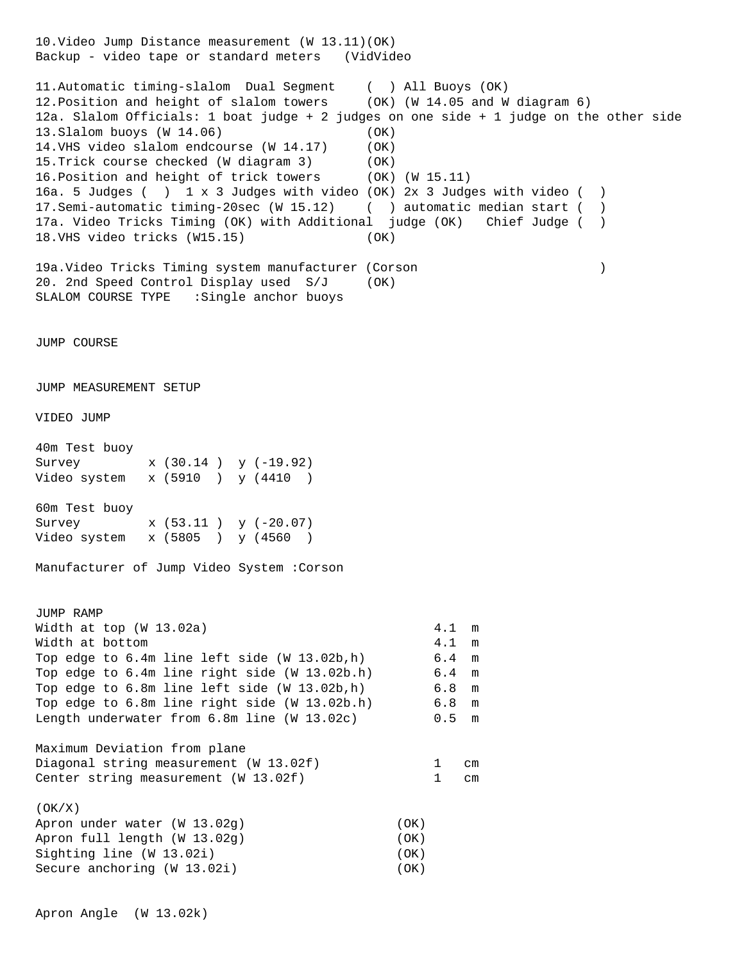10.Video Jump Distance measurement (W 13.11)(OK) Backup - video tape or standard meters (VidVideo 11.Automatic timing-slalom Dual Segment ( ) All Buoys (OK) 12.Position and height of slalom towers (OK) (W 14.05 and W diagram 6) 12a. Slalom Officials: 1 boat judge + 2 judges on one side + 1 judge on the other side 13.Slalom buoys (W 14.06) (OK) 14.VHS video slalom endcourse (W 14.17) (OK) 15.Trick course checked (W diagram 3) (OK) 16.Position and height of trick towers (OK) (W 15.11) 16a. 5 Judges ( ) 1 x 3 Judges with video (OK) 2x 3 Judges with video ( ) 17.Semi-automatic timing-20sec (W 15.12) ( ) automatic median start ( ) 17a. Video Tricks Timing (OK) with Additional judge (OK) Chief Judge ( ) 18.VHS video tricks (W15.15) (OK) 19a.Video Tricks Timing system manufacturer (Corson ) 20. 2nd Speed Control Display used S/J (OK) SLALOM COURSE TYPE : Single anchor buoys JUMP COURSE JUMP MEASUREMENT SETUP VIDEO JUMP 40m Test buoy Survey x (30.14 ) y (-19.92) Video system x (5910 ) y (4410 ) 60m Test buoy Survey x (53.11 ) y (-20.07) Video system x (5805 ) y (4560 ) Manufacturer of Jump Video System :Corson JUMP RAMP Width at top (W 13.02a) 4.1 m Width at bottom  $4.1 \text{ m}$ Top edge to 6.4m line left side (W 13.02b,h) 6.4 m Top edge to 6.4m line right side (W 13.02b.h) 6.4 m Top edge to 6.8m line left side (W 13.02b,h) 6.8 m Top edge to 6.8m line right side (W 13.02b.h) 6.8 m Length underwater from 6.8m line (W 13.02c) 0.5 m Maximum Deviation from plane Diagonal string measurement (W 13.02f) 1 cm Center string measurement (W 13.02f) 1 cm (OK/X) Apron under water (W 13.02q) (OK) Apron full length (W 13.02g) (OK) Sighting line (W 13.02i) (OK) Secure anchoring (W 13.02i) (OK)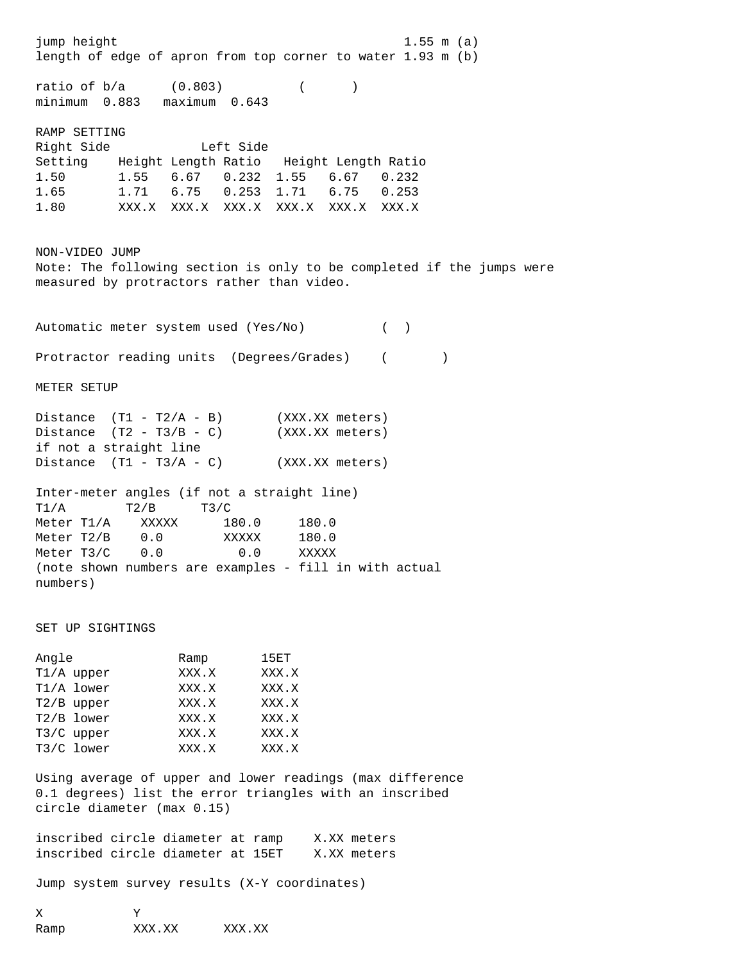jump height 1.55 m (a) length of edge of apron from top corner to water 1.93 m (b) ratio of  $b/a$  (0.803) () minimum 0.883 maximum 0.643 RAMP SETTING Right Side Left Side Setting Height Length Ratio Height Length Ratio 1.50 1.55 6.67 0.232 1.55 6.67 0.232 1.65 1.71 6.75 0.253 1.71 6.75 0.253 1.80 XXX.X XXX.X XXX.X XXX.X XXX.X XXX.X NON-VIDEO JUMP Note: The following section is only to be completed if the jumps were measured by protractors rather than video. Automatic meter system used (Yes/No) ( ) Protractor reading units (Degrees/Grades) ( ) METER SETUP Distance  $(T1 - T2/A - B)$  (XXX.XX meters) Distance  $(T2 - T3/B - C)$  (XXX.XX meters) if not a straight line Distance  $(T1 - T3/A - C)$  (XXX.XX meters) Inter-meter angles (if not a straight line)  $T1/A$   $T2/B$   $T3/C$ Meter T1/A XXXXX 180.0 180.0 Meter T2/B 0.0 XXXXX 180.0 Meter T3/C 0.0 0.0 XXXXX (note shown numbers are examples - fill in with actual numbers) SET UP SIGHTINGS Angle Ramp 15ET T1/A upper XXX.X XXX.X T1/A lower XXX.X XXX.X T2/B upper XXX.X XXX.X T2/B lower XXX.X XXX.X T3/C upper XXX.X XXX.X T3/C lower XXX.X XXX.X Using average of upper and lower readings (max difference 0.1 degrees) list the error triangles with an inscribed circle diameter (max 0.15) inscribed circle diameter at ramp X.XX meters inscribed circle diameter at 15ET X.XX meters Jump system survey results (X-Y coordinates) X Y

Ramp XXX.XX XXX.XX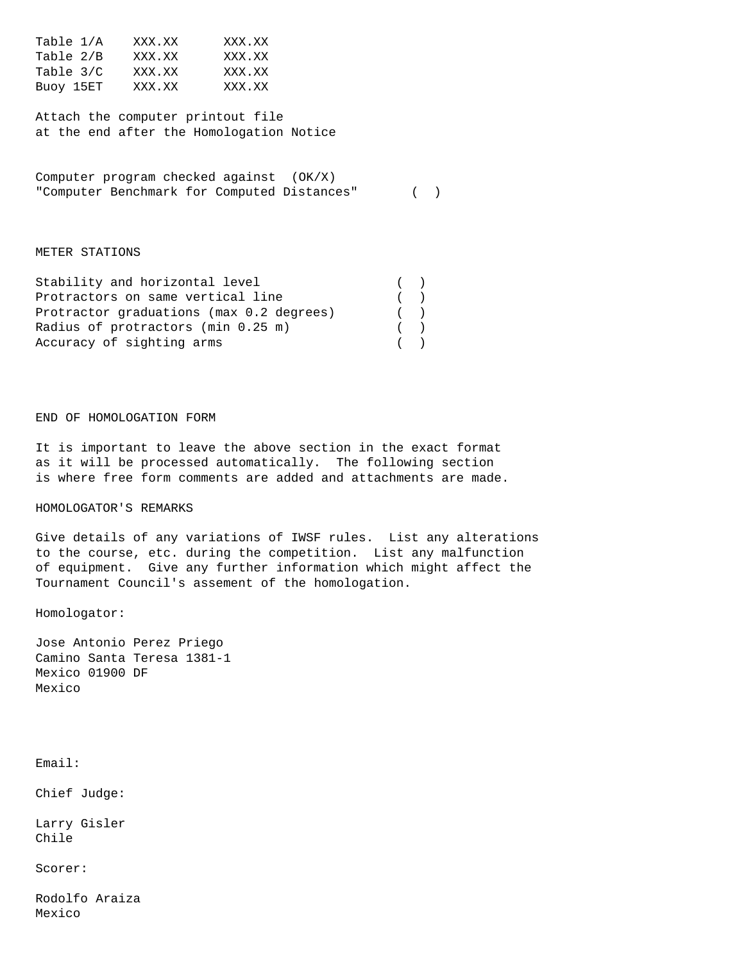| Table 1/A | XXX.XX | XXX.XX |
|-----------|--------|--------|
| Table 2/B | XXX.XX | XXX.XX |
| Table 3/C | XXX.XX | XXX.XX |
| Buoy 15ET | XXX.XX | XXX.XX |

Attach the computer printout file at the end after the Homologation Notice

Computer program checked against (OK/X) "Computer Benchmark for Computed Distances" ( )

#### METER STATIONS

| Stability and horizontal level           | ( |  |
|------------------------------------------|---|--|
| Protractors on same vertical line        | ( |  |
| Protractor graduations (max 0.2 degrees) | ( |  |
| Radius of protractors (min 0.25 m)       | ( |  |
| Accuracy of sighting arms                | ( |  |

### END OF HOMOLOGATION FORM

It is important to leave the above section in the exact format as it will be processed automatically. The following section is where free form comments are added and attachments are made.

### HOMOLOGATOR'S REMARKS

Give details of any variations of IWSF rules. List any alterations to the course, etc. during the competition. List any malfunction of equipment. Give any further information which might affect the Tournament Council's assement of the homologation.

Homologator:

Jose Antonio Perez Priego Camino Santa Teresa 1381-1 Mexico 01900 DF Mexico

Email:

Chief Judge:

Larry Gisler Chile

Scorer:

Rodolfo Araiza Mexico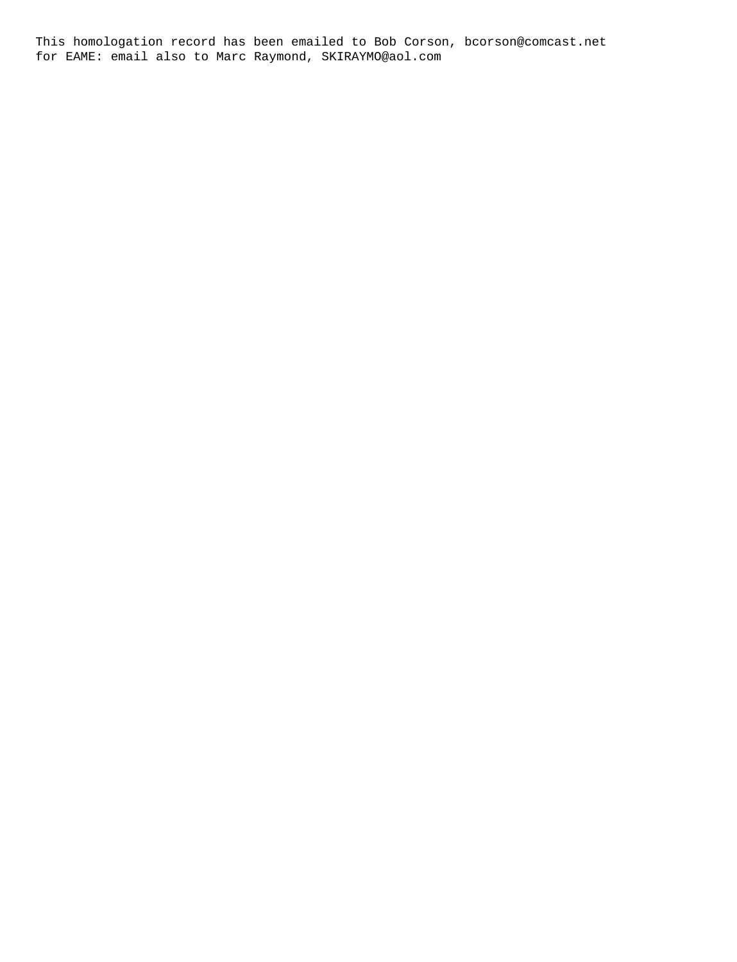This homologation record has been emailed to Bob Corson, bcorson@comcast.net for EAME: email also to Marc Raymond, SKIRAYMO@aol.com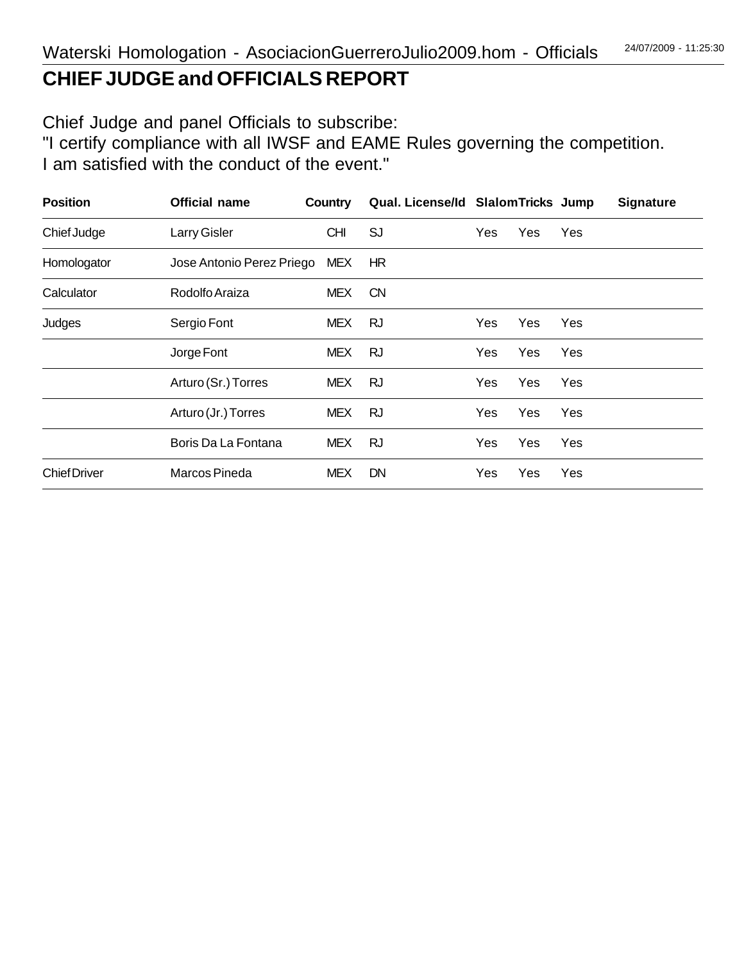# **CHIEF JUDGE and OFFICIALS REPORT**

Chief Judge and panel Officials to subscribe:

"I certify compliance with all IWSF and EAME Rules governing the competition. I am satisfied with the conduct of the event."

| <b>Position</b>     | <b>Official name</b>      | Country    | Qual. License/Id Slalom Tricks Jump |     |            |     | <b>Signature</b> |
|---------------------|---------------------------|------------|-------------------------------------|-----|------------|-----|------------------|
| Chief Judge         | Larry Gisler              | <b>CHI</b> | <b>SJ</b>                           | Yes | Yes        | Yes |                  |
| Homologator         | Jose Antonio Perez Priego | MEX.       | HR                                  |     |            |     |                  |
| Calculator          | Rodolfo Araiza            | <b>MEX</b> | <b>CN</b>                           |     |            |     |                  |
| Judges              | Sergio Font               | <b>MEX</b> | <b>RJ</b>                           | Yes | Yes        | Yes |                  |
|                     | Jorge Font                | <b>MEX</b> | <b>RJ</b>                           | Yes | Yes        | Yes |                  |
|                     | Arturo (Sr.) Torres       | <b>MEX</b> | RJ                                  | Yes | Yes        | Yes |                  |
|                     | Arturo (Jr.) Torres       | <b>MEX</b> | RJ                                  | Yes | <b>Yes</b> | Yes |                  |
|                     | Boris Da La Fontana       | <b>MEX</b> | <b>RJ</b>                           | Yes | Yes        | Yes |                  |
| <b>Chief Driver</b> | Marcos Pineda             | <b>MEX</b> | <b>DN</b>                           | Yes | Yes        | Yes |                  |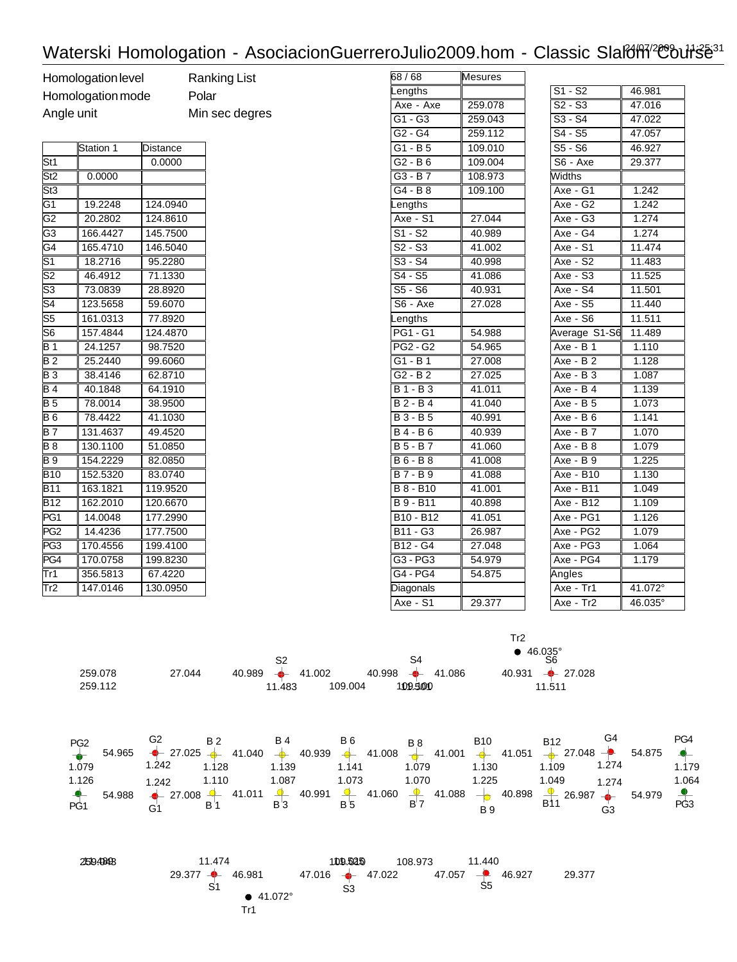# Waterski Homologation - AsociacionGuerreroJulio2009.hom - Classic Slafoff<sup>/2</sup>Course<sup>31</sup>

| Homologation level |
|--------------------|
| Homologation mode  |
| Angle unit         |

Ranking List le Polar Min sec degres

|                 | Station 1 | Distance |  |
|-----------------|-----------|----------|--|
| St1             |           | 0.0000   |  |
| St <sub>2</sub> | 0.0000    |          |  |
| St3             |           |          |  |
| G1              | 19.2248   | 124.0940 |  |
| G <sub>2</sub>  | 20.2802   | 124.8610 |  |
| G <sub>3</sub>  | 166.4427  | 145.7500 |  |
| G4              | 165.4710  | 146.5040 |  |
| S1              | 18.2716   | 95.2280  |  |
| S2              | 46.4912   | 71.1330  |  |
| S3              | 73.0839   | 28.8920  |  |
| S4              | 123.5658  | 59.6070  |  |
| S5              | 161.0313  | 77.8920  |  |
| S6              | 157.4844  | 124.4870 |  |
| B 1             | 24.1257   | 98.7520  |  |
| B <sub>2</sub>  | 25.2440   | 99.6060  |  |
| B 3             | 38.4146   | 62.8710  |  |
| <b>B4</b>       | 40.1848   | 64.1910  |  |
| B 5             | 78.0014   | 38.9500  |  |
| B6              | 78.4422   | 41.1030  |  |
| B 7             | 131.4637  | 49.4520  |  |
| B 8             | 130.1100  | 51.0850  |  |
| B 9             | 154.2229  | 82.0850  |  |
| <b>B10</b>      | 152.5320  | 83.0740  |  |
| <b>B11</b>      | 163.1821  | 119.9520 |  |
| <b>B12</b>      | 162.2010  | 120.6670 |  |
| PG1             | 14.0048   | 177.2990 |  |
| PG <sub>2</sub> | 14.4236   | 177.7500 |  |
| PG <sub>3</sub> | 170.4556  | 199.4100 |  |
| PG4             | 170.0758  | 199.8230 |  |
| Tr1             | 356.5813  | 67.4220  |  |
| Tr2             | 147.0146  | 130.0950 |  |

| 68 / 68                           | ∥Mesures |
|-----------------------------------|----------|
| Lengths                           |          |
| Axe - Axe                         | 259.078  |
| G1 - G3                           | 259.043  |
| G2 - G4                           | 259.112  |
| G1 - B 5                          | 109.010  |
| G2 - B 6                          | 109.004  |
| $GG - B7$                         | 108.973  |
| G4 - B8                           | 109.100  |
| Lengths                           |          |
| $Axe - S1$                        | 27.044   |
| S1 - S2                           | 40.989   |
| $\sqrt{S2-S3}$                    | 41.002   |
| $\sqrt{S3-S4}$                    | 40.998   |
| S4 - S5                           | 41.086   |
| S5 - S6                           | 40.931   |
| $S6 - Axe$                        | 27.028   |
| Lengths                           |          |
| PG1 - G1                          | 54.988   |
| <b>PG2 - G2</b>                   | 54.965   |
| G1 - B1                           | 27.008   |
| $G2 - B2$                         | 27.025   |
| <b>B1-B3</b>                      | 41.011   |
| $B2 - B4$                         | 41.040   |
| $B3 - B5$                         | 40.991   |
| $B4 - B6$                         | 40.939   |
| <b>B5-B7</b>                      | 41.060   |
| <b>B6-B8</b>                      | 41.008   |
| <b>B7-B9</b>                      | 41.088   |
| B 8 - B10                         | 41.001   |
| $B\overline{9 - B11}$             | 40.898   |
| B <sub>10</sub> - B <sub>12</sub> | 41.051   |
| <b>B11 - G3</b>                   | 26.987   |
| $B12 - G4$                        | 27.048   |
| $G3 - PG3$                        | 54.979   |
| $ G4 - PG4$                       | 54.875   |
| Diagonals                         |          |
| $Axe - S1$                        | 29.377   |

| $S1 - S2$             | 46.981            |
|-----------------------|-------------------|
| $S2 - S3$             | 47.016            |
| $S3 - S4$             | 47.022            |
| S4 - S5               | 47.057            |
| $S5 - S6$             | 46.927            |
| S6 - Axe              | 29.377            |
| Widths                |                   |
| Axe - G1              | 1.242             |
| Axe - G2              | 1.242             |
| $Axe - G3$            | $\frac{1}{1.274}$ |
| $\overline{Axe - G4}$ | 1.274             |
| $Axe - S1$            | 11.474            |
| Axe - S2              | 11.483            |
| Axe - S3              | 11.525            |
| $\overline{Axe - S4}$ | 11.501            |
| Axe - S5              | 11.440            |
| $Axe - S6$            | 11.511            |
| Average S1-S6 11.489  |                   |
| $Axe - B1$            | 1.110             |
| <b>Axe - B2</b>       | 1.128             |
| Axe - B 3             | 1.087             |
| $Axe - B4$            | 1.139             |
| $Axe - B5$            | 1.073             |
| $Axe - B6$            | 1.141             |
| Axe - $B\overline{7}$ | 1.070             |
| Axe - B 8             | 1.079             |
| Axe - B 9             | 1.225             |
| Axe - B10             | 1.130             |
| Axe - B11             | 1.049             |
| Axe - B12             | 1.109             |
| Axe - PG1             | 1.126             |
| Axe - PG2             | 1.079             |
| Axe - PG3             | 1.064             |
| Axe - $PG4$           | 1.179             |
| Angles                |                   |
| Axe - Tr1             | 41.072°           |
| $Axe - Tr2$           | 46.035°           |

Tr2

| 259.078<br>259.112 | 27.044 |                                                 | S4<br>$40.989$ $\leftrightarrow$ 41.002 40.998 $\leftrightarrow$ 41.086 40.931 $\leftrightarrow$ 27.028<br>11.483 109.004 109.500 | $\bullet$ 46.035°<br>S6<br>11.511                                                                                                                                                                                                                                                                      |                                   |
|--------------------|--------|-------------------------------------------------|-----------------------------------------------------------------------------------------------------------------------------------|--------------------------------------------------------------------------------------------------------------------------------------------------------------------------------------------------------------------------------------------------------------------------------------------------------|-----------------------------------|
| 1.079<br>1.126     | 1.242  | 1.128 1.139 1.141<br>1.242  1.110  1.087  1.073 | 1.079<br>1.070 1.225                                                                                                              | PG2 G2 B 2 B 4 B 6 B 8 B 10 B 12 G 4 PG 4 PG 4 PG 4 1.040 → 40.939 → 41.008 → 41.000 → 41.001 → 41.051 → 27.048 → 54.875 →<br>1.109 1.274<br>1.130<br>1.049 1.274<br>$-$ 54.988 $-$ 27.008 4 41.011 4 40.991 4 41.060 4 41.088 $-$ 40.898 $-$ 26.987 $-$ 54.979<br>PG1 G1 B 1 B 3 B 5 B 7 B 9 B 11 G 3 | 1.179<br>1.064<br>P <sub>G3</sub> |

| 2694848 | 11.474                  | 109.525                          | 11.440<br>108.973                  |                  |
|---------|-------------------------|----------------------------------|------------------------------------|------------------|
|         | $29.377 -$<br>46.981    | $47.016$ $\rightarrow$<br>47.022 | $\overline{\phantom{a}}$<br>47.057 | 46.927<br>29.377 |
|         | S1<br>$\bullet$ 41.072° | S3                               | S5                                 |                  |
|         | Tr1                     |                                  |                                    |                  |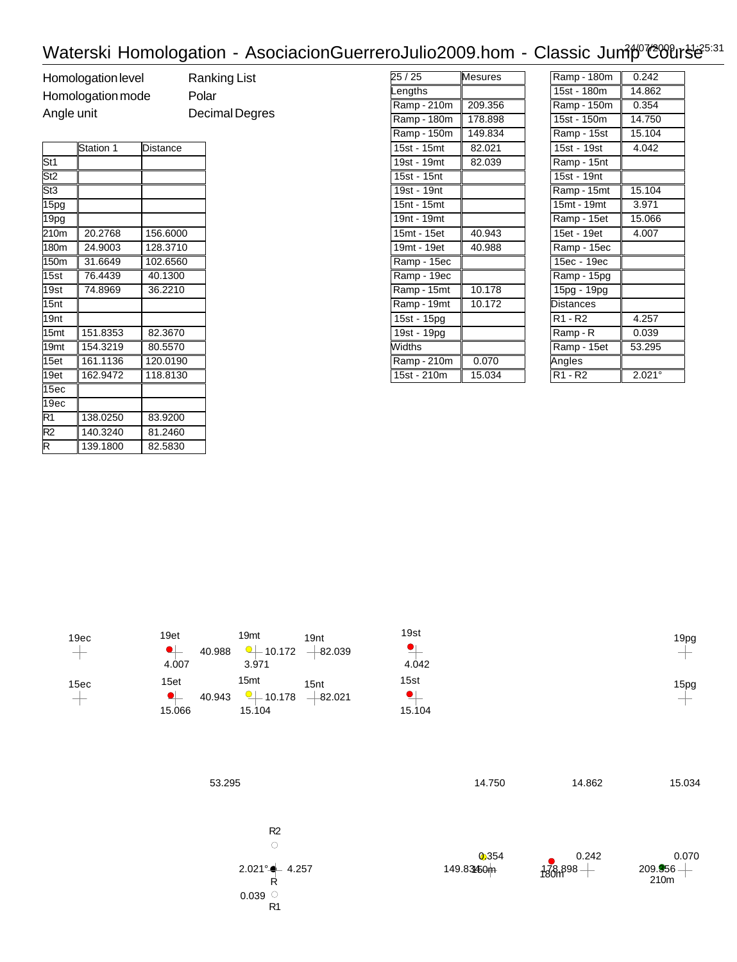## Waterski Homologation - AsociacionGuerreroJulio2009.hom - Classic Jum<sup>p T</sup>COUrs<sup>125:31</sup>

Homologation level Ranking List Homologation mode Polar Angle unit Decimal Degres

|                         | Station 1 | Distance |
|-------------------------|-----------|----------|
| St1                     |           |          |
| St2                     |           |          |
| St3                     |           |          |
| 15pg                    |           |          |
| 19pg                    |           |          |
| 210m                    | 20.2768   | 156.6000 |
| 180m                    | 24.9003   | 128.3710 |
| 150 <sub>m</sub>        | 31.6649   | 102.6560 |
| 15st                    | 76.4439   | 40.1300  |
| 19st                    | 74.8969   | 36.2210  |
| 15nt                    |           |          |
| 19nt                    |           |          |
| 15 <sub>mt</sub>        | 151.8353  | 82.3670  |
| 19 <sub>mt</sub>        | 154.3219  | 80.5570  |
| 15et                    | 161.1136  | 120.0190 |
| 19et                    | 162.9472  | 118.8130 |
| 15ec                    |           |          |
| 19 <sub>ec</sub>        |           |          |
| R1                      | 138.0250  | 83.9200  |
| R <sub>2</sub>          | 140.3240  | 81.2460  |
| $\overline{\mathsf{R}}$ | 139.1800  | 82.5830  |

| 25 / 25       | Mesures |
|---------------|---------|
| Lengths       |         |
| Ramp - 210m   | 209.356 |
| Ramp - 180m   | 178.898 |
| Ramp - 150m   | 149.834 |
| 15st - 15mt   | 82.021  |
| 19st - 19mt   | 82.039  |
| 15st - 15nt   |         |
| 19st - 19nt   |         |
| 15nt - 15mt   |         |
| 19nt - 19mt   |         |
| 15mt - 15et   | 40.943  |
| 19mt - 19et   | 40.988  |
| Ramp - 15ec   |         |
| Ramp - 19ec   |         |
| Ramp - 15mt   | 10.178  |
| Ramp - 19mt   | 10.172  |
| 15st - 15pg   |         |
| 19st - 19pg   |         |
| <b>Widths</b> |         |
| Ramp - 210m   | 0.070   |
| 15st - 210m   | 15.034  |

| Ramp - 180m | 0.242           |
|-------------|-----------------|
| 15st - 180m | 14.862          |
| Ramp - 150m | 0.354           |
| 15st - 150m | 14.750          |
| Ramp - 15st | 15.104          |
| 15st - 19st | 4.042           |
| Ramp - 15nt |                 |
| 15st - 19nt |                 |
| Ramp - 15mt | 15.104          |
| 15mt - 19mt | 3.971           |
| Ramp - 15et | 15.066          |
| 15et - 19et | 4.007           |
| Ramp - 15ec |                 |
| 15ec - 19ec |                 |
| Ramp - 15pg |                 |
| 15pg - 19pg |                 |
| Distances   |                 |
| R1 - R2     | 4.257           |
| Ramp - R    | 0.039           |
| Ramp - 15et | 53.295          |
| Angles      |                 |
| R1 - R2     | $2.021^{\circ}$ |



15ec

| 19et             |        | 19 <sub>m</sub> |
|------------------|--------|-----------------|
| 0                | 40.988 | ۰.              |
| 4.007            |        | 3.9             |
| 15 <sub>et</sub> |        | 15 <sub>m</sub> |
| 0                | 40.943 |                 |
| 15.066           |        | 15.             |

| 19 <sub>mt</sub><br>⊙⊥<br>3.971      | 19 <sub>nt</sub><br>$-10.172$ $-82.039$ |
|--------------------------------------|-----------------------------------------|
| 15 <sub>mt</sub><br>10.178<br>15.104 | 15nt<br>$-82.021$                       |

R1

| 19st    |  |
|---------|--|
| $\cdot$ |  |
| 4.042   |  |
| 15st    |  |
| U       |  |
| 15.104  |  |





15pg  $+$